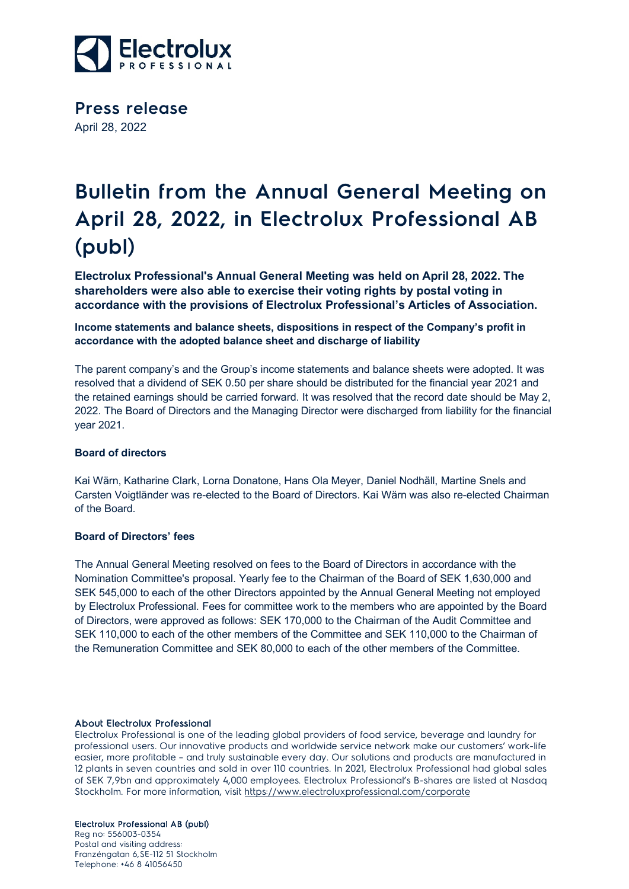

**Press release** April 28, 2022

# **Bulletin from the Annual General Meeting on April 28, 2022, in Electrolux Professional AB (publ)**

**Electrolux Professional's Annual General Meeting was held on April 28, 2022. The shareholders were also able to exercise their voting rights by postal voting in accordance with the provisions of Electrolux Professional's Articles of Association.**

**Income statements and balance sheets, dispositions in respect of the Company's profit in accordance with the adopted balance sheet and discharge of liability**

The parent company's and the Group's income statements and balance sheets were adopted. It was resolved that a dividend of SEK 0.50 per share should be distributed for the financial year 2021 and the retained earnings should be carried forward. It was resolved that the record date should be May 2, 2022. The Board of Directors and the Managing Director were discharged from liability for the financial year 2021.

## **Board of directors**

Kai Wärn, Katharine Clark, Lorna Donatone, Hans Ola Meyer, Daniel Nodhäll, Martine Snels and Carsten Voigtländer was re-elected to the Board of Directors. Kai Wärn was also re-elected Chairman of the Board.

# **Board of Directors' fees**

The Annual General Meeting resolved on fees to the Board of Directors in accordance with the Nomination Committee's proposal. Yearly fee to the Chairman of the Board of SEK 1,630,000 and SEK 545,000 to each of the other Directors appointed by the Annual General Meeting not employed by Electrolux Professional. Fees for committee work to the members who are appointed by the Board of Directors, were approved as follows: SEK 170,000 to the Chairman of the Audit Committee and SEK 110,000 to each of the other members of the Committee and SEK 110,000 to the Chairman of the Remuneration Committee and SEK 80,000 to each of the other members of the Committee.

#### About Electrolux Professional

Electrolux Professional is one of the leading global providers of food service, beverage and laundry for professional users. Our innovative products and worldwide service network make our customers' work-life easier, more profitable – and truly sustainable every day. Our solutions and products are manufactured in 12 plants in seven countries and sold in over 110 countries. In 2021, Electrolux Professional had global sales of SEK 7,9bn and approximately 4,000 employees. Electrolux Professional's B-shares are listed at Nasdaq Stockholm. For more information, visit<https://www.electroluxprofessional.com/corporate>

## Electrolux Professional AB (publ)

Reg no: 556003-0354 Postal and visiting address: Franzéngatan 6,SE-112 51 Stockholm Telephone: +46 8 41056450